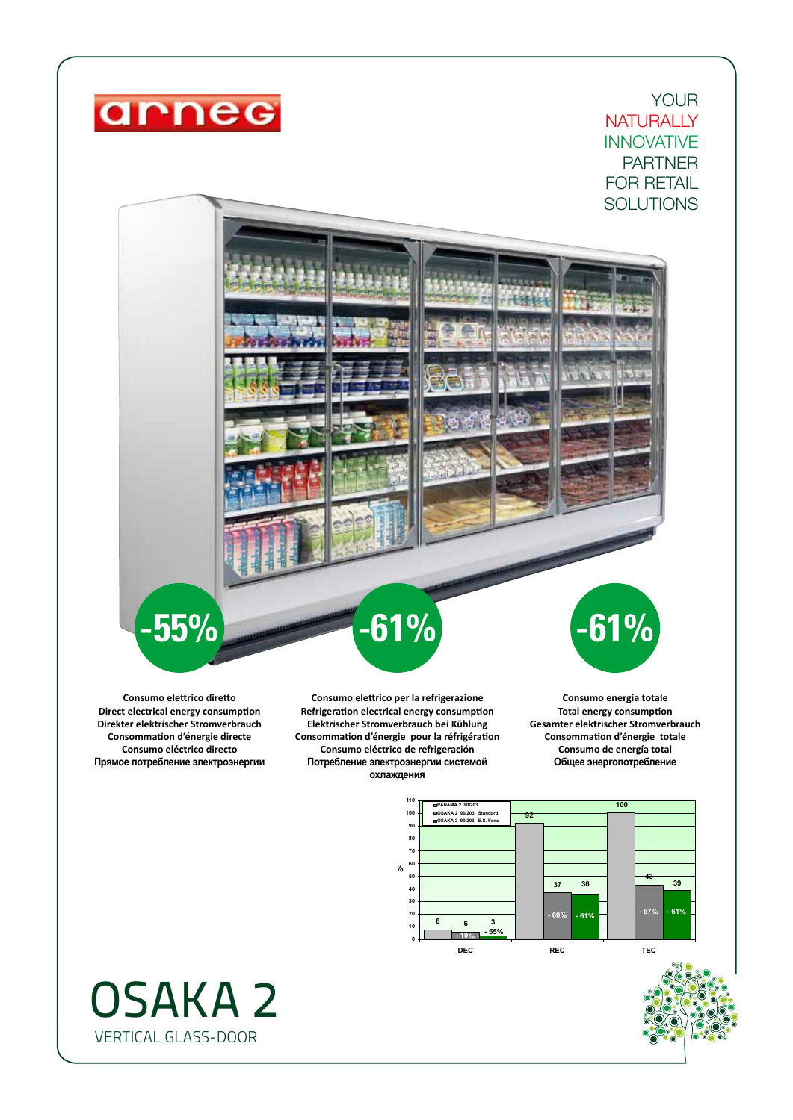

YOUR **NATURALLY** INNOVATIVE PARTNER FOR RETAIL **SOLUTIONS** 

**Consumo elettrico diretto Direct electrical energy consumption Direkter elektrischer Stromverbrauch Consommation d'énergie directe Consumo eléctrico directo Прямое потребление электроэнергии**

**-55%**

**Consumo elettrico per la refrigerazione Refrigeration electrical energy consumption Elektrischer Stromverbrauch bei Kühlung Consommation d'énergie pour la réfrigération Consumo eléctrico de refrigeración Потребление электроэнергии системой охлаждения**

**-61%**

**-61%**

**Consumo energia totale Total energy consumption Gesamter elektrischer Stromverbrauch Consommation d'énergie totale Consumo de energía total Общее энергопотребление**